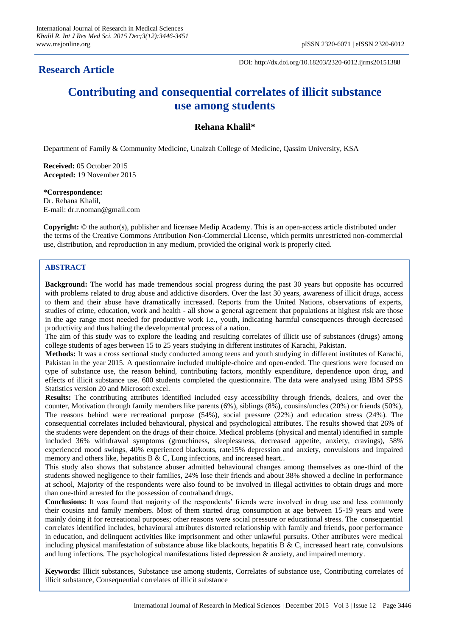# **Research Article**

DOI: http://dx.doi.org/10.18203/2320-6012.ijrms20151388

# **Contributing and consequential correlates of illicit substance use among students**

# **Rehana Khalil\***

Department of Family & Community Medicine, Unaizah College of Medicine, Qassim University, KSA

**Received:** 05 October 2015 **Accepted:** 19 November 2015

**\*Correspondence:**

Dr. Rehana Khalil, E-mail: dr.r.noman@gmail.com

**Copyright:** © the author(s), publisher and licensee Medip Academy. This is an open-access article distributed under the terms of the Creative Commons Attribution Non-Commercial License, which permits unrestricted non-commercial use, distribution, and reproduction in any medium, provided the original work is properly cited.

# **ABSTRACT**

**Background:** The world has made tremendous social progress during the past 30 years but opposite has occurred with problems related to drug abuse and addictive disorders. Over the last 30 years, awareness of illicit drugs, access to them and their abuse have dramatically increased. Reports from the United Nations, observations of experts, studies of crime, education, work and health - all show a general agreement that populations at highest risk are those in the age range most needed for productive work i.e., youth, indicating harmful consequences through decreased productivity and thus halting the developmental process of a nation.

The aim of this study was to explore the leading and resulting correlates of illicit use of substances (drugs) among college students of ages between 15 to 25 years studying in different institutes of Karachi, Pakistan.

**Methods:** It was a cross sectional study conducted among teens and youth studying in different institutes of Karachi, Pakistan in the year 2015. A questionnaire included multiple-choice and open-ended. The questions were focused on type of substance use, the reason behind, contributing factors, monthly expenditure, dependence upon drug, and effects of illicit substance use. 600 students completed the questionnaire. The data were analysed using IBM SPSS Statistics version 20 and Microsoft excel.

**Results:** The contributing attributes identified included easy accessibility through friends, dealers, and over the counter, Motivation through family members like parents (6%), siblings (8%), cousins/uncles (20%) or friends (50%), The reasons behind were recreational purpose (54%), social pressure (22%) and education stress (24%). The consequential correlates included behavioural, physical and psychological attributes. The results showed that 26% of the students were dependent on the drugs of their choice. Medical problems (physical and mental) identified in sample included 36% withdrawal symptoms (grouchiness, sleeplessness, decreased appetite, anxiety, cravings), 58% experienced mood swings, 40% experienced blackouts, rate15% depression and anxiety, convulsions and impaired memory and others like, hepatitis B & C, Lung infections, and increased heart..

This study also shows that substance abuser admitted behavioural changes among themselves as one-third of the students showed negligence to their families, 24% lose their friends and about 38% showed a decline in performance at school, Majority of the respondents were also found to be involved in illegal activities to obtain drugs and more than one-third arrested for the possession of contraband drugs.

**Conclusions:** It was found that majority of the respondents' friends were involved in drug use and less commonly their cousins and family members. Most of them started drug consumption at age between 15-19 years and were mainly doing it for recreational purposes; other reasons were social pressure or educational stress. The consequential correlates identified includes, behavioural attributes distorted relationship with family and friends, poor performance in education, and delinquent activities like imprisonment and other unlawful pursuits. Other attributes were medical including physical manifestation of substance abuse like blackouts, hepatitis B & C, increased heart rate, convulsions and lung infections. The psychological manifestations listed depression & anxiety, and impaired memory.

**Keywords:** Illicit substances, Substance use among students, Correlates of substance use, Contributing correlates of illicit substance, Consequential correlates of illicit substance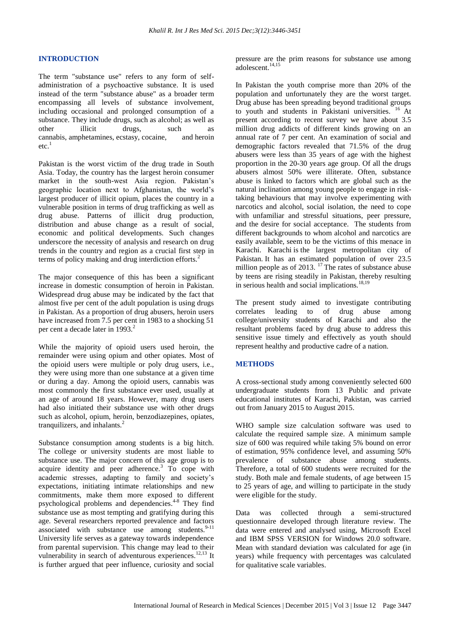#### **INTRODUCTION**

The term "substance use" refers to any form of selfadministration of a psychoactive substance. It is used instead of the term "substance abuse" as a broader term encompassing all levels of substance involvement, including occasional and prolonged consumption of a substance. They include drugs, such as alcohol; as well as other illicit drugs, such as cannabis, amphetamines, ecstasy, cocaine, and heroin  $etc.<sup>1</sup>$ 

Pakistan is the worst victim of the drug trade in South Asia. Today, the country has the largest heroin consumer market in the south-west Asia region. Pakistan's geographic location next to Afghanistan, the world"s largest producer of illicit opium, places the country in a vulnerable position in terms of drug trafficking as well as drug abuse. Patterns of illicit drug production, distribution and abuse change as a result of social, economic and political developments. Such changes underscore the necessity of analysis and research on drug trends in the country and region as a crucial first step in terms of policy making and drug interdiction efforts.<sup>2</sup>

The major consequence of this has been a significant increase in domestic consumption of heroin in Pakistan. Widespread drug abuse may be indicated by the fact that almost five per cent of the adult population is using drugs in Pakistan. As a proportion of drug abusers, heroin users have increased from 7.5 per cent in 1983 to a shocking 51 per cent a decade later in 1993.<sup>2</sup>

While the majority of opioid users used heroin, the remainder were using opium and other opiates. Most of the opioid users were multiple or poly drug users, i.e., they were using more than one substance at a given time or during a day. Among the opioid users, cannabis was most commonly the first substance ever used, usually at an age of around 18 years. However, many drug users had also initiated their substance use with other drugs such as alcohol, opium, heroin, benzodiazepines, opiates, tranquilizers, and inhalants.<sup>2</sup>

Substance consumption among students is a big hitch. The college or university students are most liable to substance use. The major concern of this age group is to acquire identity and peer adherence.<sup>3</sup> To cope with academic stresses, adapting to family and society"s expectations, initiating intimate relationships and new commitments, make them more exposed to different psychological problems and dependencies.<sup>4-8</sup> They find substance use as most tempting and gratifying during this age. Several researchers reported prevalence and factors associated with substance use among students. $9-11$ University life serves as a gateway towards independence from parental supervision. This change may lead to their vulnerability in search of adventurous experiences.<sup>12,13</sup> It is further argued that peer influence, curiosity and social pressure are the prim reasons for substance use among adolescent.14,15

In Pakistan the youth comprise more than 20% of the population and unfortunately they are the worst target. Drug abuse has been spreading beyond traditional groups to youth and students in Pakistani universities. <sup>16</sup> At present according to recent survey we have about 3.5 million drug addicts of different kinds growing on an annual rate of 7 per cent. An examination of social and demographic factors revealed that 71.5% of the drug abusers were less than 35 years of age with the highest proportion in the 20-30 years age group. Of all the drugs abusers almost 50% were illiterate. Often, substance abuse is linked to factors which are global such as the natural inclination among young people to engage in risktaking behaviours that may involve experimenting with narcotics and alcohol, social isolation, the need to cope with unfamiliar and stressful situations, peer pressure, and the desire for social acceptance. The students from different backgrounds to whom alcohol and narcotics are easily available, seem to be the victims of this menace in Karachi. Karachi is the largest metropolitan city of Pakistan. It has an estimated population of over 23.5 million people as of 2013.  $\frac{17}{2}$ The rates of substance abuse by teens are rising steadily in Pakistan, thereby resulting in serious health and social implications. $^{18,19}$ 

The present study aimed to investigate contributing correlates leading to of drug abuse among college/university students of Karachi and also the resultant problems faced by drug abuse to address this sensitive issue timely and effectively as youth should represent healthy and productive cadre of a nation.

# **METHODS**

A cross-sectional study among conveniently selected 600 undergraduate students from 13 Public and private educational institutes of Karachi, Pakistan, was carried out from January 2015 to August 2015.

WHO sample size calculation software was used to calculate the required sample size. A minimum sample size of 600 was required while taking 5% bound on error of estimation, 95% confidence level, and assuming 50% prevalence of substance abuse among students. Therefore, a total of 600 students were recruited for the study. Both male and female students, of age between 15 to 25 years of age, and willing to participate in the study were eligible for the study.

Data was collected through a semi-structured questionnaire developed through literature review. The data were entered and analysed using, Microsoft Excel and IBM SPSS VERSION for Windows 20.0 software. Mean with standard deviation was calculated for age (in years) while frequency with percentages was calculated for qualitative scale variables.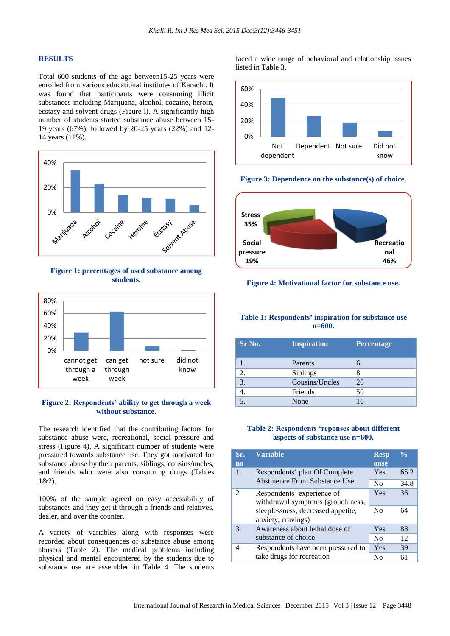#### **RESULTS**

Total 600 students of the age between15-25 years were enrolled from various educational institutes of Karachi. It was found that participants were consuming illicit substances including Marijuana, alcohol, cocaine, heroin, ecstasy and solvent drugs (Figure l). A significantly high number of students started substance abuse between 15- 19 years (67%), followed by 20-25 years (22%) and 12- 14 years (11%).



**Figure 1: percentages of used substance among students.**



### **Figure 2: Respondents' ability to get through a week without substance.**

The research identified that the contributing factors for substance abuse were, recreational, social pressure and stress (Figure 4). A significant number of students were pressured towards substance use. They got motivated for substance abuse by their parents, siblings, cousins/uncles, and friends who were also consuming drugs (Tables 1&2).

100% of the sample agreed on easy accessibility of substances and they get it through a friends and relatives, dealer, and over the counter.

A variety of variables along with responses were recorded about consequences of substance abuse among abusers (Table 2). The medical problems including physical and mental encountered by the students due to substance use are assembled in Table 4. The students

faced a wide range of behavioral and relationship issues listed in Table 3.



**Figure 3: Dependence on the substance(s) of choice.**



#### **Figure 4: Motivational factor for substance use.**

#### **Table 1: Respondents' inspiration for substance use n=600.**

| Sr No. | <b>Inspiration</b> | Percentage |
|--------|--------------------|------------|
|        | Parents            |            |
| 2.     | Siblings           |            |
| 3.     | Cousins/Uncles     | 20         |
|        | Friends            | 50         |
|        | None               |            |

## **Table 2: Respondents 'reponses about different aspects of substance use n=600.**

| Sr.<br>n <sub>0</sub> | <b>Variable</b>                                                 | <b>Resp</b><br>onse | $\frac{0}{\sqrt{2}}$ |
|-----------------------|-----------------------------------------------------------------|---------------------|----------------------|
|                       | Respondents' plan Of Complete                                   | Yes                 | 65.2                 |
|                       | Abstinence From Substance Use                                   | N <sub>0</sub>      | 34.8                 |
| $\mathfrak{D}$        | Respondents' experience of<br>withdrawal symptoms (grouchiness, | Yes                 | 36                   |
|                       | sleeplessness, decreased appetite,<br>anxiety, cravings)        | $\rm No$            | 64                   |
| 3                     | Awareness about lethal dose of                                  | Yes                 | 88                   |
|                       | substance of choice                                             | $\rm No$            | 12                   |
|                       | Respondents have been pressured to<br>take drugs for recreation | Yes                 | 39                   |
|                       |                                                                 | No                  | 61                   |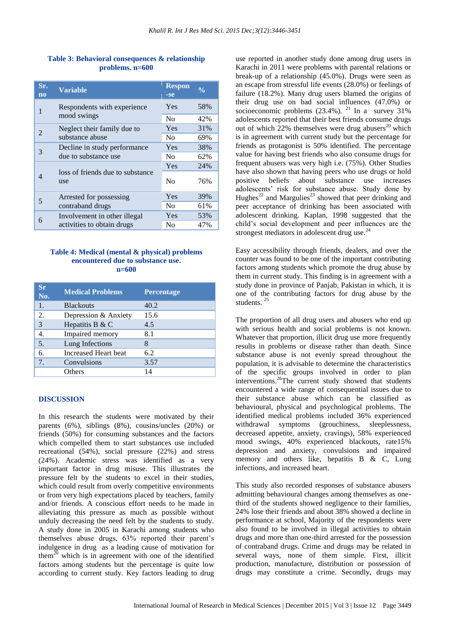## **Table 3: Behavioral consequences & relationship problems. n=600**

| Sr.<br>$\overline{no}$        | <b>Variable</b>                                      | <b>Respon</b><br>-se | $\frac{0}{0}$ |
|-------------------------------|------------------------------------------------------|----------------------|---------------|
| 1                             | Respondents with experience<br>mood swings           | Yes                  | 58%           |
|                               |                                                      | N <sub>0</sub>       | 42%           |
| $\mathfrak{D}_{\mathfrak{p}}$ | Neglect their family due to<br>substance abuse       | Yes                  | 31%           |
|                               |                                                      | No                   | 69%           |
| 3                             | Decline in study performance<br>due to substance use | Yes                  | 38%           |
|                               |                                                      | No                   | 62%           |
| 4                             |                                                      | Yes                  | 24%           |
|                               | loss of friends due to substance<br>use              | N <sub>0</sub>       | 76%           |
| 5                             | Arrested for possessing                              | Yes                  | 39%           |
|                               | contraband drugs                                     | N <sub>0</sub>       | 61%           |
| 6                             | Involvement in other illegal                         | Yes                  | 53%           |
|                               | activities to obtain drugs                           | No                   | 47%           |

#### **Table 4: Medical (mental & physical) problems encountered due to substance use. n=600**

| $S_{r}$<br>No. | <b>Medical Problems</b>     | <b>Percentage</b> |
|----------------|-----------------------------|-------------------|
| 1.             | <b>Blackouts</b>            | 40.2              |
| 2.             | Depression & Anxiety        | 15.6              |
| 3              | Hepatitis B & C             | 4.5               |
| 4.             | Impaired memory             | 8.1               |
| 5.             | Lung Infections             | 8                 |
| 6.             | <b>Increased Heart beat</b> | 6.2               |
| 7 <sub>1</sub> | Convulsions                 | 3.57              |
|                | Others                      | 14                |

# **DISCUSSION**

In this research the students were motivated by their parents (6%), siblings (8%), cousins/uncles (20%) or friends (50%) for consuming substances and the factors which compelled them to start substances use included recreational (54%), social pressure (22%) and stress (24%). Academic stress was identified as a very important factor in drug misuse. This illustrates the pressure felt by the students to excel in their studies, which could result from overly competitive environments or from very high expectations placed by teachers, family and/or friends. A conscious effort needs to be made in alleviating this pressure as much as possible without unduly decreasing the need felt by the students to study. A study done in 2005 in Karachi among students who themselves abuse drugs, 63% reported their parent's indulgence in drug as a leading cause of motivation for them<sup>20</sup> which is in agreement with one of the identified factors among students but the percentage is quite low according to current study. Key factors leading to drug use reported in another study done among drug users in Karachi in 2011 were problems with parental relations or break-up of a relationship (45.0%). Drugs were seen as an escape from stressful life events (28.0%) or feelings of failure (18.2%). Many drug users blamed the origins of their drug use on bad social influences (47.0%) or socioeconomic problems  $(23.4\%)$ . <sup>21</sup> In a survey 31% adolescents reported that their best friends consume drugs out of which  $22\%$  themselves were drug abusers<sup>20</sup> which is in agreement with current study but the percentage for friends as protagonist is 50% identified. The percentage value for having best friends who also consume drugs for frequent abusers was very high i.e. (75%). Other Studies have also shown that having peers who use drugs or hold positive beliefs about substance use increases adolescents" risk for substance abuse. Study done by Hughes<sup>22</sup> and Margulies<sup>23</sup> showed that peer drinking and peer acceptance of drinking has been associated with adolescent drinking. Kaplan, 1998 suggested that the child"s social development and peer influences are the strongest mediators in adolescent drug use.<sup>24</sup>

Easy accessibility through friends, dealers, and over the counter was found to be one of the important contributing factors among students which promote the drug abuse by them in current study. This finding is in agreement with a study done in province of Panjab, Pakistan in which, it is one of the contributing factors for drug abuse by the students. <sup>25</sup>

The proportion of all drug users and abusers who end up with serious health and social problems is not known. Whatever that proportion, illicit drug use more frequently results in problems or disease rather than death. Since substance abuse is not evenly spread throughout the population, it is advisable to determine the characteristics of the specific groups involved in order to plan interventions.<sup>26</sup>The current study showed that students encountered a wide range of consequential issues due to their substance abuse which can be classified as behavioural, physical and psychological problems. The identified medical problems included 36% experienced withdrawal symptoms (grouchiness, sleeplessness, decreased appetite, anxiety, cravings), 58% experienced mood swings, 40% experienced blackouts, rate15% depression and anxiety, convulsions and impaired memory and others like, hepatitis B & C, Lung infections, and increased heart.

This study also recorded responses of substance abusers admitting behavioural changes among themselves as onethird of the students showed negligence to their families, 24% lose their friends and about 38% showed a decline in performance at school, Majority of the respondents were also found to be involved in illegal activities to obtain drugs and more than one-third arrested for the possession of contraband drugs. Crime and drugs may be related in several ways, none of them simple. First, illicit production, manufacture, distribution or possession of drugs may constitute a crime. Secondly, drugs may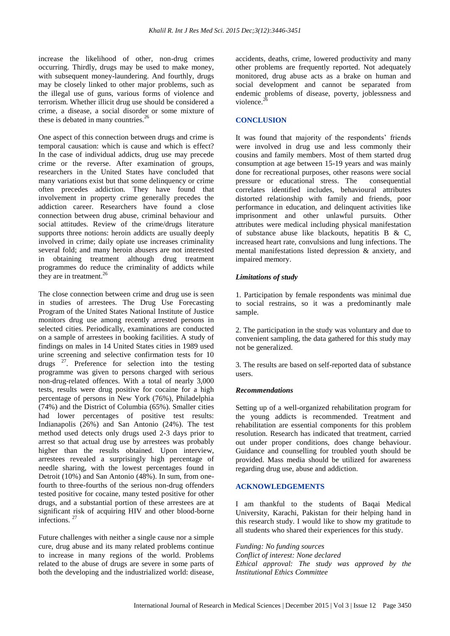increase the likelihood of other, non-drug crimes occurring. Thirdly, drugs may be used to make money, with subsequent money-laundering. And fourthly, drugs may be closely linked to other major problems, such as the illegal use of guns, various forms of violence and terrorism. Whether illicit drug use should be considered a crime, a disease, a social disorder or some mixture of these is debated in many countries.<sup>26</sup>

One aspect of this connection between drugs and crime is temporal causation: which is cause and which is effect? In the case of individual addicts, drug use may precede crime or the reverse. After examination of groups, researchers in the United States have concluded that many variations exist but that some delinquency or crime often precedes addiction. They have found that involvement in property crime generally precedes the addiction career. Researchers have found a close connection between drug abuse, criminal behaviour and social attitudes. Review of the crime/drugs literature supports three notions: heroin addicts are usually deeply involved in crime; daily opiate use increases criminality several fold; and many heroin abusers are not interested in obtaining treatment although drug treatment programmes do reduce the criminality of addicts while they are in treatment. $^{26}$ 

The close connection between crime and drug use is seen in studies of arrestees. The Drug Use Forecasting Program of the United States National Institute of Justice monitors drug use among recently arrested persons in selected cities. Periodically, examinations are conducted on a sample of arrestees in booking facilities. A study of findings on males in 14 United States cities in 1989 used urine screening and selective confirmation tests for 10 drugs  $2^7$ . Preference for selection into the testing programme was given to persons charged with serious non-drug-related offences. With a total of nearly 3,000 tests, results were drug positive for cocaine for a high percentage of persons in New York (76%), Philadelphia (74%) and the District of Columbia (65%). Smaller cities had lower percentages of positive test results: Indianapolis (26%) and San Antonio (24%). The test method used detects only drugs used 2-3 days prior to arrest so that actual drug use by arrestees was probably higher than the results obtained. Upon interview, arrestees revealed a surprisingly high percentage of needle sharing, with the lowest percentages found in Detroit (10%) and San Antonio (48%). In sum, from onefourth to three-fourths of the serious non-drug offenders tested positive for cocaine, many tested positive for other drugs, and a substantial portion of these arrestees are at significant risk of acquiring HIV and other blood-borne infections.<sup>27</sup>

Future challenges with neither a single cause nor a simple cure, drug abuse and its many related problems continue to increase in many regions of the world. Problems related to the abuse of drugs are severe in some parts of both the developing and the industrialized world: disease, accidents, deaths, crime, lowered productivity and many other problems are frequently reported. Not adequately monitored, drug abuse acts as a brake on human and social development and cannot be separated from endemic problems of disease, poverty, joblessness and violence.<sup>2</sup>

# **CONCLUSION**

It was found that majority of the respondents' friends were involved in drug use and less commonly their cousins and family members. Most of them started drug consumption at age between 15-19 years and was mainly done for recreational purposes, other reasons were social pressure or educational stress. The consequential correlates identified includes, behavioural attributes distorted relationship with family and friends, poor performance in education, and delinquent activities like imprisonment and other unlawful pursuits. Other attributes were medical including physical manifestation of substance abuse like blackouts, hepatitis B & C, increased heart rate, convulsions and lung infections. The mental manifestations listed depression & anxiety, and impaired memory.

# *Limitations of study*

1. Participation by female respondents was minimal due to social restrains, so it was a predominantly male sample.

2. The participation in the study was voluntary and due to convenient sampling, the data gathered for this study may not be generalized.

3. The results are based on self-reported data of substance users.

#### *Recommendations*

Setting up of a well-organized rehabilitation program for the young addicts is recommended. Treatment and rehabilitation are essential components for this problem resolution. Research has indicated that treatment, carried out under proper conditions, does change behaviour. Guidance and counselling for troubled youth should be provided. Mass media should be utilized for awareness regarding drug use, abuse and addiction.

#### **ACKNOWLEDGEMENTS**

I am thankful to the students of Baqai Medical University, Karachi, Pakistan for their helping hand in this research study. I would like to show my gratitude to all students who shared their experiences for this study.

*Funding: No funding sources Conflict of interest: None declared Ethical approval: The study was approved by the Institutional Ethics Committee*